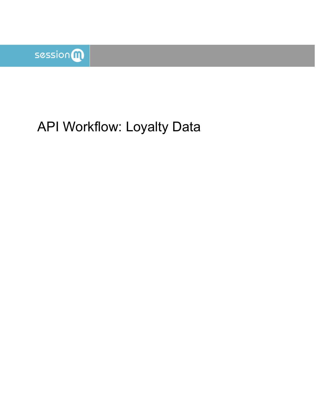

# API Workflow: Loyalty Data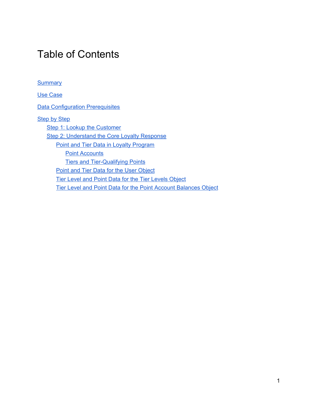## Table of Contents

**[Summary](#page-2-0)** 

Use [Case](#page-2-1)

**Data [Configuration](#page-2-2) Prerequisites** 

**[Step](#page-2-3) by Step** 

Step 1: Lookup the [Customer](#page-3-0) Step 2: [Understand](#page-4-0) the Core Loyalty Response Point and Tier Data in Loyalty [Program](#page-4-1) **Point [Accounts](#page-4-2)** Tiers and [Tier-Qualifying](#page-5-0) Points Point and Tier Data for the User [Object](#page-5-1) Tier Level and Point Data for the Tier [Levels](#page-7-0) Object Tier Level and Point Data for the Point Account [Balances](#page-9-0) Object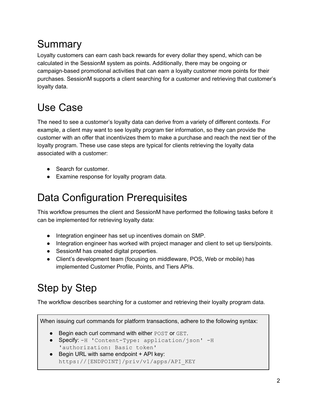## <span id="page-2-0"></span>Summary

Loyalty customers can earn cash back rewards for every dollar they spend, which can be calculated in the SessionM system as points. Additionally, there may be ongoing or campaign-based promotional activities that can earn a loyalty customer more points for their purchases. SessionM supports a client searching for a customer and retrieving that customer's loyalty data.

## <span id="page-2-1"></span>Use Case

The need to see a customer's loyalty data can derive from a variety of different contexts. For example, a client may want to see loyalty program tier information, so they can provide the customer with an offer that incentivizes them to make a purchase and reach the next tier of the loyalty program. These use case steps are typical for clients retrieving the loyalty data associated with a customer:

- Search for customer.
- Examine response for loyalty program data.

## <span id="page-2-2"></span>Data Configuration Prerequisites

This workflow presumes the client and SessionM have performed the following tasks before it can be implemented for retrieving loyalty data:

- Integration engineer has set up incentives domain on SMP.
- Integration engineer has worked with project manager and client to set up tiers/points.
- SessionM has created digital properties.
- Client's development team (focusing on middleware, POS, Web or mobile) has implemented Customer Profile, Points, and Tiers APIs.

## <span id="page-2-3"></span>Step by Step

The workflow describes searching for a customer and retrieving their loyalty program data.

When issuing curl commands for platform transactions, adhere to the following syntax:

- Begin each curl command with either POST or GET.
- Specify: -H 'Content-Type: application/json' -H 'authorization: Basic token'
- $\bullet$  Begin URL with same endpoint  $+$  API key: https://[ENDPOINT]/priv/v1/apps/API\_KEY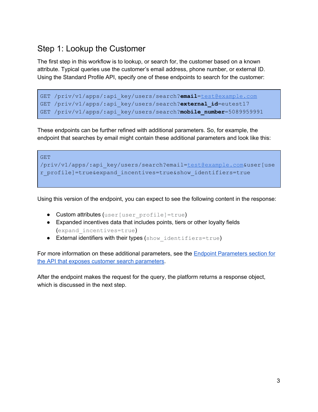## <span id="page-3-0"></span>Step 1: Lookup the Customer

The first step in this workflow is to lookup, or search for, the customer based on a known attribute. Typical queries use the customer's email address, phone number, or external ID. Using the Standard Profile API, specify one of these endpoints to search for the customer:

```
GET /priv/v1/apps/:api_key/users/search?email=test@example.com
GET /priv/v1/apps/:api_key/users/search?external_id=eutest17
GET /priv/v1/apps/:api_key/users/search?mobile_number=5089959991
```
These endpoints can be further refined with additional parameters. So, for example, the endpoint that searches by email might contain these additional parameters and look like this:

```
GET
/priv/v1/apps/:api_key/users/search?email=test@example.com&user[use
r_profile]=true&expand_incentives=true&show_identifiers=true
```
Using this version of the endpoint, you can expect to see the following content in the response:

- Custom attributes (user [user\_profile]=true)
- Expanded incentives data that includes points, tiers or other loyalty fields (expand\_incentives=true)
- External identifiers with their types (show identifiers=true)

For more information on these additional parameters, see the Endpoint [Parameters](https://docs.sessionm.com/server2server/#search-for-a-standard-profile) section for the API that exposes customer search [parameters](https://docs.sessionm.com/server2server/#search-for-a-standard-profile).

After the endpoint makes the request for the query, the platform returns a response object, which is discussed in the next step.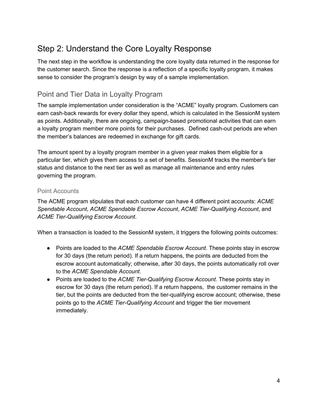## <span id="page-4-0"></span>Step 2: Understand the Core Loyalty Response

The next step in the workflow is understanding the core loyalty data returned in the response for the customer search. Since the response is a reflection of a specific loyalty program, it makes sense to consider the program's design by way of a sample implementation.

### <span id="page-4-1"></span>Point and Tier Data in Loyalty Program

The sample implementation under consideration is the "ACME" loyalty program. Customers can earn cash-back rewards for every dollar they spend, which is calculated in the SessionM system as points. Additionally, there are ongoing, campaign-based promotional activities that can earn a loyalty program member more points for their purchases. Defined cash-out periods are when the member's balances are redeemed in exchange for gift cards.

The amount spent by a loyalty program member in a given year makes them eligible for a particular tier, which gives them access to a set of benefits. SessionM tracks the member's tier status and distance to the next tier as well as manage all maintenance and entry rules governing the program.

#### <span id="page-4-2"></span>Point Accounts

The ACME program stipulates that each customer can have 4 different point accounts: *ACME Spendable Account*, *ACME Spendable Escrow Account*, *ACME Tier-Qualifying Account*, and *ACME Tier-Qualifying Escrow Account*.

When a transaction is loaded to the SessionM system, it triggers the following points outcomes:

- Points are loaded to the *ACME Spendable Escrow Account*. These points stay in escrow for 30 days (the return period). If a return happens, the points are deducted from the escrow account automatically; otherwise, after 30 days, the points automatically roll over to the *ACME Spendable Account*.
- Points are loaded to the *ACME Tier-Qualifying Escrow Account*. These points stay in escrow for 30 days (the return period). If a return happens, the customer remains in the tier, but the points are deducted from the tier-qualifying escrow account; otherwise, these points go to the *ACME Tier-Qualifying Account* and trigger the tier movement immediately.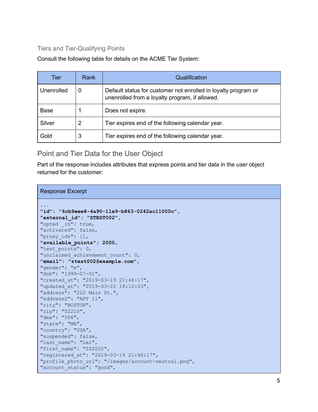### <span id="page-5-0"></span>Tiers and Tier-Qualifying Points

Consult the following table for details on the ACME Tier System:

| Tier        | Rank | Qualification                                                                                                    |  |
|-------------|------|------------------------------------------------------------------------------------------------------------------|--|
| Unenrolled  |      | Default status for customer not enrolled in loyalty program or<br>unenrolled from a loyalty program, if allowed. |  |
| <b>Base</b> |      | Does not expire.                                                                                                 |  |
| Silver      | 2    | Tier expires end of the following calendar year.                                                                 |  |
| Gold        | 3    | Tier expires end of the following calendar year.                                                                 |  |

<span id="page-5-1"></span>Point and Tier Data for the User Object

Part of the response includes attributes that express points and tier data in the *user* object returned for the customer:

#### Response Excerpt

| .                                                   |  |  |  |  |  |
|-----------------------------------------------------|--|--|--|--|--|
| "id": "6cb9eee8-4a90-11e9-b863-0242ac11000c",       |  |  |  |  |  |
| "external id": "ZTEST002",                          |  |  |  |  |  |
| "opted in": true,                                   |  |  |  |  |  |
| "activated": false,                                 |  |  |  |  |  |
| "proxy ids": $[]$ ,                                 |  |  |  |  |  |
| "available_points": 2000,                           |  |  |  |  |  |
| "test points": 0,                                   |  |  |  |  |  |
| "unclaimed achievement count": 0,                   |  |  |  |  |  |
| "email": "ztest002@example.com",                    |  |  |  |  |  |
| "gender": "m",                                      |  |  |  |  |  |
| "dob": "1999-07-01",                                |  |  |  |  |  |
| "created at": "2019-03-19 21:46:17",                |  |  |  |  |  |
| "updated at": "2019-03-22 18:12:03",                |  |  |  |  |  |
| "address": "222 Main St.",                          |  |  |  |  |  |
| "address $2$ ": "APT $11$ ",                        |  |  |  |  |  |
| "city": "BOSTON",                                   |  |  |  |  |  |
| "zip": "02210",                                     |  |  |  |  |  |
| "dma": "506",                                       |  |  |  |  |  |
| "state": "MA",                                      |  |  |  |  |  |
| "country": "USA",                                   |  |  |  |  |  |
| "suspended": false,                                 |  |  |  |  |  |
| "last name": "Lei",                                 |  |  |  |  |  |
| "first name": "ZZZ002",                             |  |  |  |  |  |
| "registered at": "2019-03-19 21:46:17",             |  |  |  |  |  |
| "profile photo url": "/images/account-neutral.png", |  |  |  |  |  |
| "account status": "good",                           |  |  |  |  |  |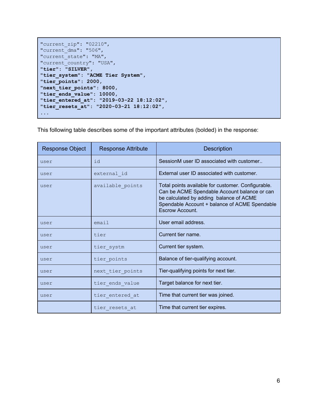```
"current_zip": "02210",
"current_dma": "506",
"current state": "MA",
"current_country": "USA",
"tier": "SILVER",
"tier_system": "ACME Tier System",
"tier_points": 2000,
"next_tier_points": 8000,
"tier_ends_value": 10000,
"tier_entered_at": "2019-03-22 18:12:02",
"tier_resets_at": "2020-03-21 18:12:02",
...
```
This following table describes some of the important attributes (bolded) in the response:

| <b>Response Object</b> | <b>Response Attribute</b> | <b>Description</b>                                                                                                                                                                                                |
|------------------------|---------------------------|-------------------------------------------------------------------------------------------------------------------------------------------------------------------------------------------------------------------|
| user                   | id                        | SessionM user ID associated with customer                                                                                                                                                                         |
| user                   | external id               | External user ID associated with customer.                                                                                                                                                                        |
| user                   | available points          | Total points available for customer. Configurable.<br>Can be ACME Spendable Account balance or can<br>be calculated by adding balance of ACME<br>Spendable Account + balance of ACME Spendable<br>Escrow Account. |
| user                   | email                     | User email address.                                                                                                                                                                                               |
| user                   | tier                      | Current tier name.                                                                                                                                                                                                |
| user                   | tier systm                | Current tier system.                                                                                                                                                                                              |
| user                   | tier points               | Balance of tier-qualifying account.                                                                                                                                                                               |
| user                   | next tier points          | Tier-qualifying points for next tier.                                                                                                                                                                             |
| user                   | tier ends value           | Target balance for next tier.                                                                                                                                                                                     |
| user                   | tier entered at           | Time that current tier was joined.                                                                                                                                                                                |
|                        | tier resets at            | Time that current tier expires.                                                                                                                                                                                   |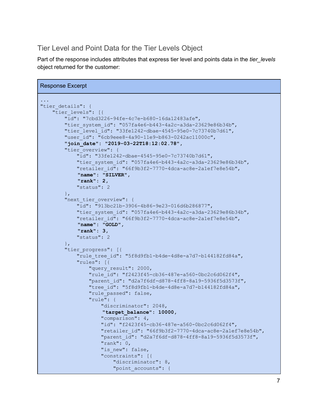### <span id="page-7-0"></span>Tier Level and Point Data for the Tier Levels Object

Part of the response includes attributes that express tier level and points data in the *tier\_levels* object returned for the customer:

```
Response Excerpt
...
"tier details": {
    "tier levels": [{
        "id": "7cbd3226-94fe-4c7e-b680-16da12483afe",
        "tier system id": "057fa4e6-b443-4a2c-a3da-23629e86b34b",
        "tier level id": "33fe1242-dbae-4545-95e0-7c73740b7d61",
        "user_id": "6cb9eee8-4a90-11e9-b863-0242ac11000c",
        "join_date": "2019-03-22T18:12:02.78",
        "tier_overview": {
            "id": "33fe1242-dbae-4545-95e0-7c73740b7d61",
            "tier system id": "057fa4e6-b443-4a2c-a3da-23629e86b34b",
            "retailer_id": "66f9b3f2-7770-4dca-ac8e-2a1ef7e8e54b",
            "name": "SILVER",
            "rank": 2,
            "status": 2
        },
        "next_tier_overview": {
            "id": "913bc21b-3906-4b86-9e23-016d6b286877",
            "tier system id": "057fa4e6-b443-4a2c-a3da-23629e86b34b",
            "retailer_id": "66f9b3f2-7770-4dca-ac8e-2a1ef7e8e54b",
            "name": "GOLD",
            "rank": 3,
            "status": 2
        },
        "tier progress": [{
            "rule tree id": "5f8d9fb1-b4de-4d8e-a7d7-b144182fd84a",
            "rules": [{
                "query result": 2000,
                "rule_id": "f2423f45-cb36-487e-a560-0bc2c6d062f4",
                "parent_id": "d2a7f6df-d878-4ff8-8a19-5936f5d3573f",
                "tree_id": "5f8d9fb1-b4de-4d8e-a7d7-b144182fd84a",
                "rule passed": false,
                "rule": {
                    "discriminator": 2048,
                    "target_balance": 10000,
                    "comparison": 4,
                    "id": "f2423f45-cb36-487e-a560-0bc2c6d062f4",
                    "retailer_id": "66f9b3f2-7770-4dca-ac8e-2a1ef7e8e54b",
                    "parent_id": "d2a7f6df-d878-4ff8-8a19-5936f5d3573f",
                    "rank": 0,
                    "is new": false,
                    "constraints": [{
                        "discriminator": 8,
                        "point_accounts": {
```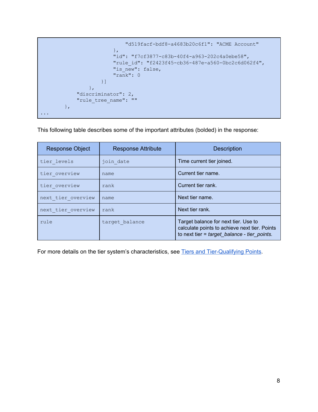```
"d519facf-bdf8-a4683b20c6f1": "ACME Account"
                        },
                        "id": "f7cf3877-c83b-40f4-a963-202c4a0ebe58",
                        "rule_id": "f2423f45-cb36-487e-a560-0bc2c6d062f4",
                        "is new": false,
                        "rank": 0
                    }]
                },
            "discriminator": 2,
            "rule tree name": ""
       },
...
```
This following table describes some of the important attributes (bolded) in the response:

| <b>Response Object</b> | <b>Response Attribute</b> | <b>Description</b>                                                                                                                      |
|------------------------|---------------------------|-----------------------------------------------------------------------------------------------------------------------------------------|
| tier levels            | join date                 | Time current tier joined.                                                                                                               |
| tier overview          | name                      | Current tier name.                                                                                                                      |
| tier overview          | rank                      | Current tier rank.                                                                                                                      |
| next tier overview     | name                      | Next tier name.                                                                                                                         |
| next tier overview     | rank                      | Next tier rank.                                                                                                                         |
| rule                   | target balance            | Target balance for next tier. Use to<br>calculate points to achieve next tier. Points<br>to next tier = $target$ balance - tier points. |

For more details on the tier system's characteristics, see Tiers and Tier-Qualifying Points.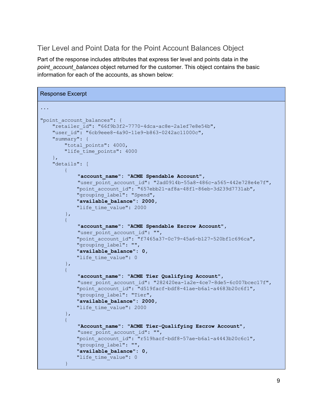### <span id="page-9-0"></span>Tier Level and Point Data for the Point Account Balances Object

Part of the response includes attributes that express tier level and points data in the *point\_account\_balances* object returned for the customer. This object contains the basic information for each of the accounts, as shown below:

```
Response Excerpt
...
"point account balances": {
   "retailer_id": "66f9b3f2-7770-4dca-ac8e-2a1ef7e8e54b",
   "user_id": "6cb9eee8-4a90-11e9-b863-0242ac11000c",
    "summary": {
        "total points": 4000,
        "life time points": 4000
   },
    "details": [
       \{"account_name": "ACME Spendable Account",
            "user_point_account_id": "2ad0914b-55a8-486c-a565-442e728e4e7f",
            "point_account_id": "657ebb21-af8a-48f1-86eb-3d239d7731ab",
            "grouping_label": "Spend",
            "available_balance": 2000,
            "life time value": 2000
        },
        {
            "account_name": "ACME Spendable Escrow Account",
            "user point account id": "",
            "point_account_id": "f7465a37-0c79-45a6-b127-520bf1c696ca",
            "grouping_label": "",
            "available_balance": 0,
            "life time value": 0
        },
        {
            "account_name": "ACME Tier Qualifying Account",
            "user_point_account_id": "282420ea-1a2e-4ce7-8de5-6c007bcec17f",
            "point account id": "d519facf-bdf8-41ae-b6a1-a4683b20c6f1",
            "grouping_label": "Tier",
            "available_balance": 2000,
            "life time value": 2000
        },
        {
            "Account_name": "ACME Tier-Qualifying Escrow Account",
            "user point account id": "",
            "point account id": "r519hacf-bdf8-57ae-b6a1-a4443b20c6c1",
            "grouping_label": "",
            "available_balance": 0,
            "life time value": 0
        }
```